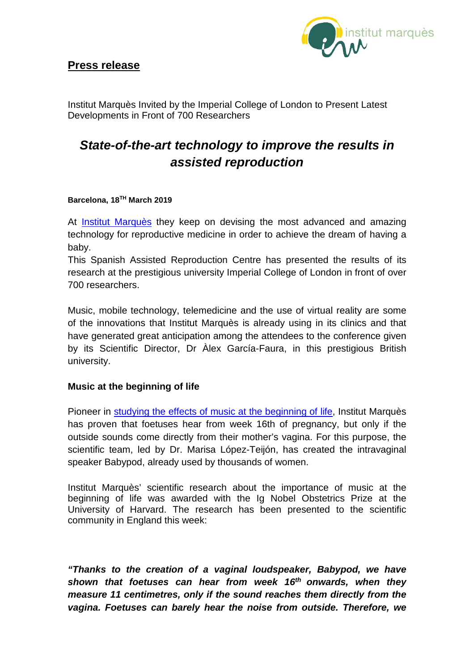

Institut Marquès Invited by the Imperial College of London to Present Latest Developments in Front of 700 Researchers

# *State-of-the-art technology to improve the results in assisted reproduction*

### **Barcelona, 18TH March 2019**

At **[Institut Marquès](https://institutomarques.com/en/)** they keep on devising the most advanced and amazing technology for reproductive medicine in order to achieve the dream of having a baby.

This Spanish Assisted Reproduction Centre has presented the results of its research at the prestigious university Imperial College of London in front of over 700 researchers.

Music, mobile technology, telemedicine and the use of virtual reality are some of the innovations that Institut Marquès is already using in its clinics and that have generated great anticipation among the attendees to the conference given by its Scientific Director, Dr Àlex García-Faura, in this prestigious British university.

## **Music at the beginning of life**

Pioneer in [studying the effects of music at the beginning of life,](https://institutomarques.com/en/scientific-area/) Institut Marquès has proven that foetuses hear from week 16th of pregnancy, but only if the outside sounds come directly from their mother's vagina. For this purpose, the scientific team, led by Dr. Marisa López-Teijón, has created the intravaginal speaker Babypod, already used by thousands of women.

Institut Marquès' scientific research about the importance of music at the beginning of life was awarded with the Ig Nobel Obstetrics Prize at the University of Harvard. The research has been presented to the scientific community in England this week:

*"Thanks to the creation of a vaginal loudspeaker, Babypod, we have shown that foetuses can hear from week 16th onwards, when they measure 11 centimetres, only if the sound reaches them directly from the vagina. Foetuses can barely hear the noise from outside. Therefore, we*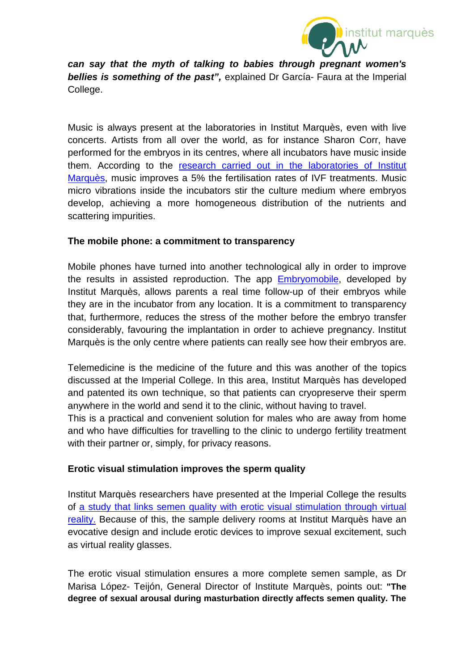

*can say that the myth of talking to babies through pregnant women's*  **bellies is something of the past", explained Dr García- Faura at the Imperial** College.

Music is always present at the laboratories in Institut Marquès, even with live concerts. Artists from all over the world, as for instance Sharon Corr, have performed for the embryos in its centres, where all incubators have music inside them. According to the [research carried out in the laboratories of Institut](https://institutomarques.com/en/assisted-reproduction/music-and-fertilisation/)  [Marquès,](https://institutomarques.com/en/assisted-reproduction/music-and-fertilisation/) music improves a 5% the fertilisation rates of IVF treatments. Music micro vibrations inside the incubators stir the culture medium where embryos develop, achieving a more homogeneous distribution of the nutrients and scattering impurities.

## **The mobile phone: a commitment to transparency**

Mobile phones have turned into another technological ally in order to improve the results in assisted reproduction. The app [Embryomobile,](https://institutomarques.com/en/observe-your-embryos-from-home/) developed by Institut Marquès, allows parents a real time follow-up of their embryos while they are in the incubator from any location. It is a commitment to transparency that, furthermore, reduces the stress of the mother before the embryo transfer considerably, favouring the implantation in order to achieve pregnancy. Institut Marquès is the only centre where patients can really see how their embryos are.

Telemedicine is the medicine of the future and this was another of the topics discussed at the Imperial College. In this area, Institut Marquès has developed and patented its own technique, so that patients can cryopreserve their sperm anywhere in the world and send it to the clinic, without having to travel.

This is a practical and convenient solution for males who are away from home and who have difficulties for travelling to the clinic to undergo fertility treatment with their partner or, simply, for privacy reasons.

## **Erotic visual stimulation improves the sperm quality**

Institut Marquès researchers have presented at the Imperial College the results of [a study that links semen quality with erotic visual stimulation through virtual](https://institutomarques.com/en/assisted-reproduction/special-techniques/erotic-personal-system/)  [reality.](https://institutomarques.com/en/assisted-reproduction/special-techniques/erotic-personal-system/) Because of this, the sample delivery rooms at Institut Marquès have an evocative design and include erotic devices to improve sexual excitement, such as virtual reality glasses.

The erotic visual stimulation ensures a more complete semen sample, as Dr Marisa López- Teijón, General Director of Institute Marquès, points out: **"The degree of sexual arousal during masturbation directly affects semen quality. The**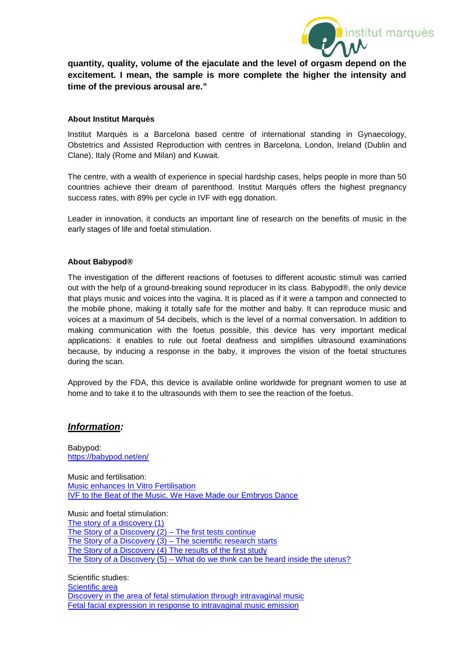

**quantity, quality, volume of the ejaculate and the level of orgasm depend on the excitement. I mean, the sample is more complete the higher the intensity and time of the previous arousal are."**

#### **About Institut Marquès**

Institut Marquès is a Barcelona based centre of international standing in Gynaecology, Obstetrics and Assisted Reproduction with centres in Barcelona, London, Ireland (Dublin and Clane), Italy (Rome and Milan) and Kuwait.

The centre, with a wealth of experience in special hardship cases, helps people in more than 50 countries achieve their dream of parenthood. Institut Marquès offers the highest pregnancy success rates, with 89% per cycle in IVF with egg donation.

Leader in innovation, it conducts an important line of research on the benefits of music in the early stages of life and foetal stimulation.

#### **About Babypod®**

The investigation of the different reactions of foetuses to different acoustic stimuli was carried out with the help of a ground-breaking sound reproducer in its class. Babypod®, the only device that plays music and voices into the vagina. It is placed as if it were a tampon and connected to the mobile phone, making it totally safe for the mother and baby. It can reproduce music and voices at a maximum of 54 decibels, which is the level of a normal conversation. In addition to making communication with the foetus possible, this device has very important medical applications: it enables to rule out foetal deafness and simplifies ultrasound examinations because, by inducing a response in the baby, it improves the vision of the foetal structures during the scan.

Approved by the FDA, this device is available online worldwide for pregnant women to use at home and to take it to the ultrasounds with them to see the reaction of the foetus.

#### *Information:*

Babypod: <https://babypod.net/en/>

Music and fertilisation: Music [enhances In Vitro Fertilisation](http://www.fertility-experiences.com/music-enhances-in-vitro-fertilisation/) [IVF to the Beat of the Music. We Have Made our Embryos Dance](http://www.fertility-experiences.com/ivf-to-the-beat-of-the-music-we-have-made-our-embryos-dance/)

Music and foetal stimulation: [The story of a discovery \(1\)](http://www.fertility-experiences.com/the-story-of-a-discovery/) [The Story of a Discovery \(2\) –](http://www.fertility-experiences.com/the-story-of-a-discovery-2-the-first-tests-continue/) The first tests continue [The Story of a Discovery \(3\) –](http://www.fertility-experiences.com/the-story-of-a-discovery-3-the-scientific-research-starts/) The scientific research starts [The Story of a Discovery \(4\) The results of the first study](http://www.fertility-experiences.com/the-story-of-a-discovery-4-the-results-of-the-first-study/) The Story of a Discovery (5) – [What do we think can be heard inside the uterus?](http://www.fertility-experiences.com/the-story-of-a-discovery-5-what-do-we-think-can-be-heard-inside-the-uterus/)

Scientific studies: [Scientific area](https://institutomarques.com/en/scientific-area/) [Discovery in the area of fetal stimulation through intravaginal music](https://institutomarques.com/en/scientific-area/response-fetus-vaginal-music-2/) [Fetal facial expression in response to intravaginal music emission](http://journals.sagepub.com/doi/abs/10.1177/1742271X15609367?journalCode=ultb)